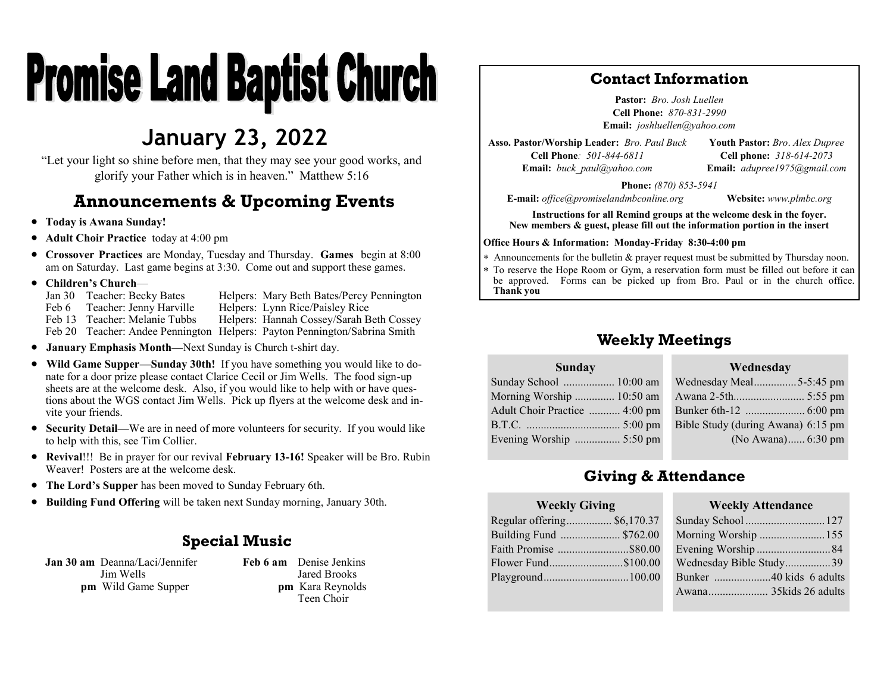# **Promise Land Baptist Church**

## **January 23, 2022**

"Let your light so shine before men, that they may see your good works, and glorify your Father which is in heaven." Matthew 5:16

## **Announcements & Upcoming Events**

- **Today is Awana Sunday!**
- **Adult Choir Practice** today at 4:00 pm
- **Crossover Practices** are Monday, Tuesday and Thursday. **Games** begin at 8:00 am on Saturday. Last game begins at 3:30. Come out and support these games.
- **Children's Church**
	- Jan 30 Teacher: Becky Bates Helpers: Mary Beth Bates/Percy Pennington
	- Feb 6 Teacher: Jenny Harville Helpers: Lynn Rice/Paisley Rice<br>Feb 13 Teacher: Melanie Tubbs Helpers: Hannah Cossev/Sarah B
	- Helpers: Hannah Cossey/Sarah Beth Cossey
	- Feb 20 Teacher: Andee Pennington Helpers: Payton Pennington/Sabrina Smith
- **January Emphasis Month—**Next Sunday is Church t-shirt day.
- **Wild Game Supper—Sunday 30th!** If you have something you would like to donate for a door prize please contact Clarice Cecil or Jim Wells. The food sign-up sheets are at the welcome desk. Also, if you would like to help with or have questions about the WGS contact Jim Wells. Pick up flyers at the welcome desk and invite your friends.
- **Security Detail—**We are in need of more volunteers for security. If you would like to help with this, see Tim Collier.
- **Revival**!!! Be in prayer for our revival **February 13-16!** Speaker will be Bro. Rubin Weaver! Posters are at the welcome desk.
- **The Lord's Supper** has been moved to Sunday February 6th.
- **Building Fund Offering** will be taken next Sunday morning, January 30th.

### **Special Music**

**Jan 30 am** Deanna/Laci/Jennifer Jim Wells **pm** Wild Game Supper

**Feb 6 am** Denise Jenkins Jared Brooks **pm** Kara Reynolds Teen Choir

## **Contact Information**

**Pastor:** *Bro. Josh Luellen* **Cell Phone:** *870-831-2990* **Email:** *joshluellen@yahoo.com* 

**Asso. Pastor/Worship Leader:** *Bro. Paul Buck* **Cell Phone***: 501-844-6811* **Email:** *buck\_paul@yahoo.com*

**Youth Pastor:** *Bro*. *Alex Dupree* **Cell phone:** *318-614-2073* **Email:** *adupree1975@gmail.com*

**Phone:** *(870) 853-5941*

**E-mail:** *office@promiselandmbconline.org* **Website:** *www.plmbc.org*

**Instructions for all Remind groups at the welcome desk in the foyer. New members & guest, please fill out the information portion in the insert**

#### **Office Hours & Information: Monday-Friday 8:30-4:00 pm**

Announcements for the bulletin & prayer request must be submitted by Thursday noon.

 To reserve the Hope Room or Gym, a reservation form must be filled out before it can be approved. Forms can be picked up from Bro. Paul or in the church office. **Thank you**

## **Weekly Meetings**

#### **Sunday**

| Wednesday Meal5-5:45 pm            |
|------------------------------------|
|                                    |
|                                    |
| Bible Study (during Awana) 6:15 pm |
| (No Awana) 6:30 pm                 |
|                                    |

## **Giving & Attendance**

#### **Weekly Giving**

Regular offering................ \$6,170.37 Building Fund ..................... \$762.00 Faith Promise .........................\$80.00 Flower Fund..........................\$100.00 Playground..............................100.00

#### **Weekly Attendance**

**Wednesday**

| Sunday School  127      |  |
|-------------------------|--|
| Morning Worship  155    |  |
| Evening Worship 84      |  |
| Wednesday Bible Study39 |  |
| Bunker 40 kids 6 adults |  |
| Awana 35kids 26 adults  |  |
|                         |  |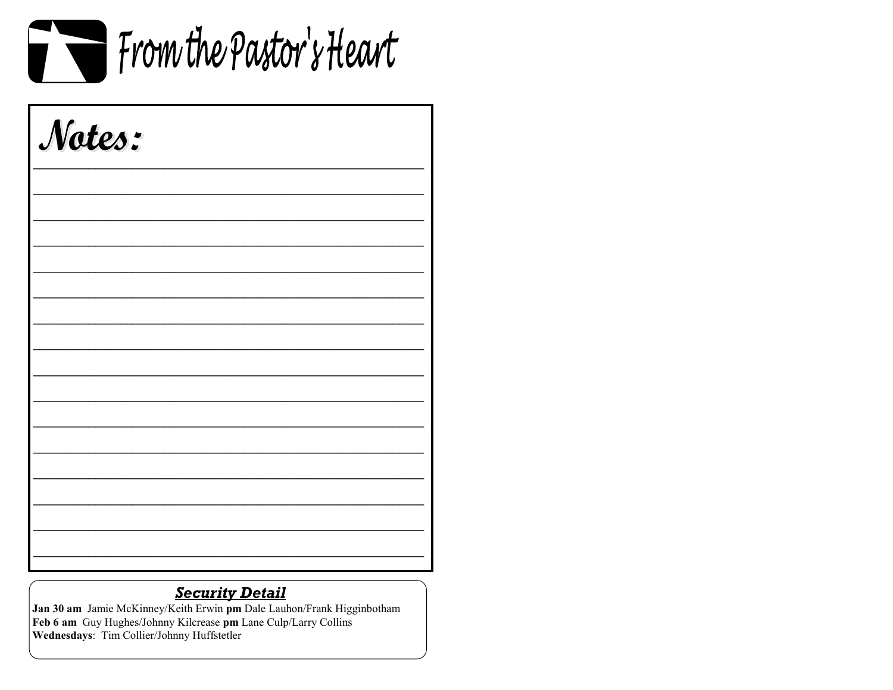

| Notes: |  |  |
|--------|--|--|
|        |  |  |
|        |  |  |
|        |  |  |
|        |  |  |
|        |  |  |
|        |  |  |
|        |  |  |
|        |  |  |

## **Security Detail**

Jan 30 am Jamie McKinney/Keith Erwin pm Dale Lauhon/Frank Higginbotham Feb 6 am Guy Hughes/Johnny Kilcrease pm Lane Culp/Larry Collins Wednesdays: Tim Collier/Johnny Huffstetler